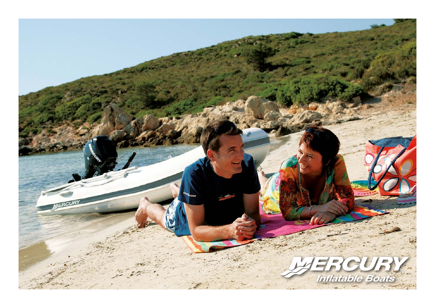